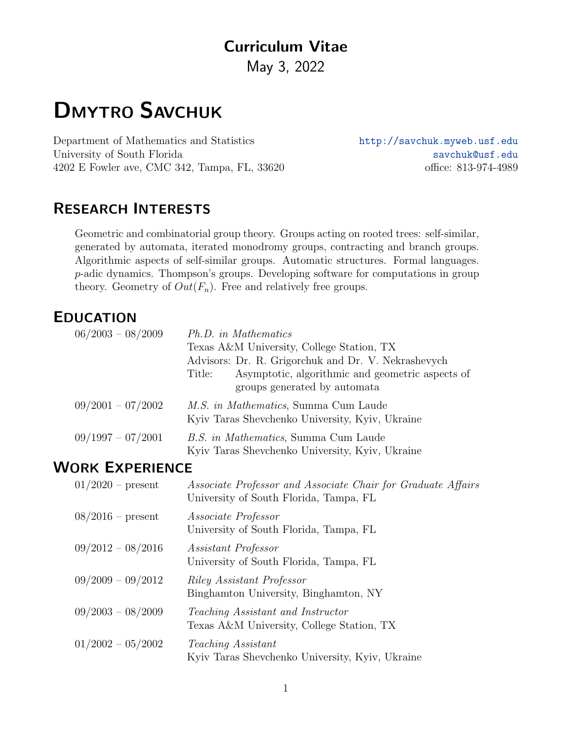# Curriculum Vitae

May 3, 2022

# DMYTRO SAVCHUK

Department of Mathematics and Statistics <http://savchuk.myweb.usf.edu> University of South Florida [savchuk@usf.edu](mailto:savchuk@usf.edu) 4202 E Fowler ave, CMC 342, Tampa, FL, 33620 office: 813-974-4989

# RESEARCH INTERESTS

Geometric and combinatorial group theory. Groups acting on rooted trees: self-similar, generated by automata, iterated monodromy groups, contracting and branch groups. Algorithmic aspects of self-similar groups. Automatic structures. Formal languages. p-adic dynamics. Thompson's groups. Developing software for computations in group theory. Geometry of  $Out(F_n)$ . Free and relatively free groups.

### EDUCATION

| $06/2003 - 08/2009$ | Ph.D. in Mathematics<br>Texas A&M University, College Station, TX<br>Advisors: Dr. R. Grigorchuk and Dr. V. Nekrashevych<br>Asymptotic, algorithmic and geometric aspects of<br>Title: |
|---------------------|----------------------------------------------------------------------------------------------------------------------------------------------------------------------------------------|
|                     | groups generated by automata                                                                                                                                                           |
| $09/2001 - 07/2002$ | M.S. in Mathematics, Summa Cum Laude<br>Kyiv Taras Shevchenko University, Kyiv, Ukraine                                                                                                |
| $09/1997 - 07/2001$ | <i>B.S. in Mathematics</i> , Summa Cum Laude<br>Kyiv Taras Shevchenko University, Kyiv, Ukraine                                                                                        |

#### WORK EXPERIENCE

| $01/2020$ – present | Associate Professor and Associate Chair for Graduate Affairs<br>University of South Florida, Tampa, FL |
|---------------------|--------------------------------------------------------------------------------------------------------|
| $08/2016$ – present | <i>Associate Professor</i><br>University of South Florida, Tampa, FL                                   |
| $09/2012 - 08/2016$ | <i>Assistant Professor</i><br>University of South Florida, Tampa, FL                                   |
| $09/2009 - 09/2012$ | <i>Riley Assistant Professor</i><br>Binghamton University, Binghamton, NY                              |
| $09/2003 - 08/2009$ | Teaching Assistant and Instructor<br>Texas A&M University, College Station, TX                         |
| $01/2002 - 05/2002$ | Teaching Assistant<br>Kyiv Taras Shevchenko University, Kyiv, Ukraine                                  |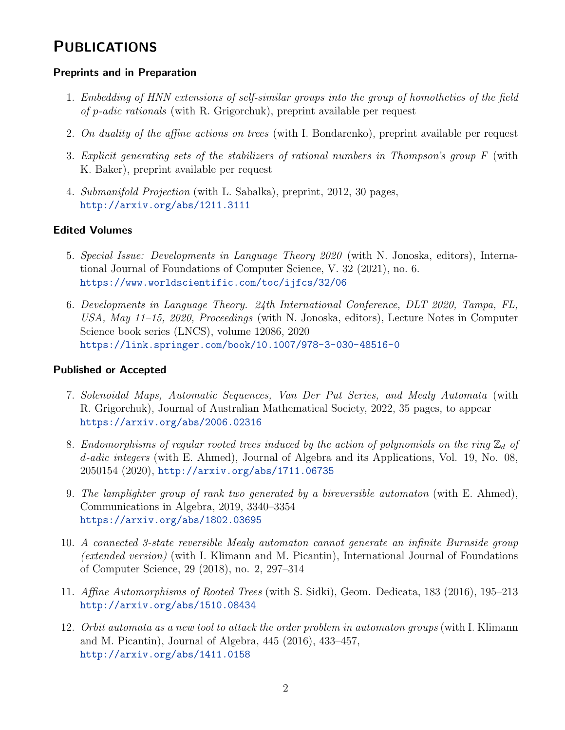### **PUBLICATIONS**

#### Preprints and in Preparation

- 1. Embedding of HNN extensions of self-similar groups into the group of homotheties of the field of p-adic rationals (with R. Grigorchuk), preprint available per request
- 2. On duality of the affine actions on trees (with I. Bondarenko), preprint available per request
- 3. Explicit generating sets of the stabilizers of rational numbers in Thompson's group F (with K. Baker), preprint available per request
- 4. Submanifold Projection (with L. Sabalka), preprint, 2012, 30 pages, <http://arxiv.org/abs/1211.3111>

#### Edited Volumes

- 5. Special Issue: Developments in Language Theory 2020 (with N. Jonoska, editors), International Journal of Foundations of Computer Science, V. 32 (2021), no. 6. <https://www.worldscientific.com/toc/ijfcs/32/06>
- 6. Developments in Language Theory. 24th International Conference, DLT 2020, Tampa, FL, USA, May 11–15, 2020, Proceedings (with N. Jonoska, editors), Lecture Notes in Computer Science book series (LNCS), volume 12086, 2020 <https://link.springer.com/book/10.1007/978-3-030-48516-0>

#### Published or Accepted

- 7. Solenoidal Maps, Automatic Sequences, Van Der Put Series, and Mealy Automata (with R. Grigorchuk), Journal of Australian Mathematical Society, 2022, 35 pages, to appear <https://arxiv.org/abs/2006.02316>
- 8. Endomorphisms of regular rooted trees induced by the action of polynomials on the ring  $\mathbb{Z}_d$  of d-adic integers (with E. Ahmed), Journal of Algebra and its Applications, Vol. 19, No. 08, 2050154 (2020), <http://arxiv.org/abs/1711.06735>
- 9. The lamplighter group of rank two generated by a bireversible automaton (with E. Ahmed), Communications in Algebra, 2019, 3340–3354 <https://arxiv.org/abs/1802.03695>
- 10. A connected 3-state reversible Mealy automaton cannot generate an infinite Burnside group (extended version) (with I. Klimann and M. Picantin), International Journal of Foundations of Computer Science, 29 (2018), no. 2, 297–314
- 11. Affine Automorphisms of Rooted Trees (with S. Sidki), Geom. Dedicata, 183 (2016), 195–213 <http://arxiv.org/abs/1510.08434>
- 12. Orbit automata as a new tool to attack the order problem in automaton groups (with I. Klimann and M. Picantin), Journal of Algebra, 445 (2016), 433–457, <http://arxiv.org/abs/1411.0158>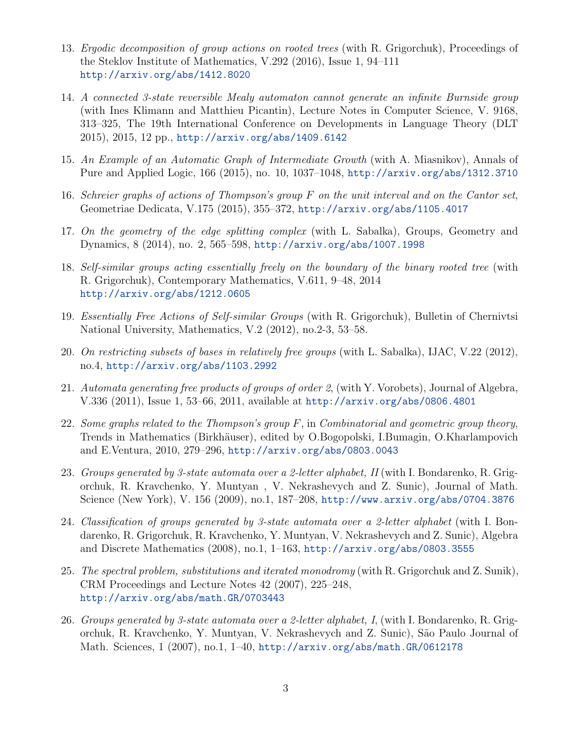- 13. Ergodic decomposition of group actions on rooted trees (with R. Grigorchuk), Proceedings of the Steklov Institute of Mathematics, V.292 (2016), Issue 1, 94–111 <http://arxiv.org/abs/1412.8020>
- 14. A connected 3-state reversible Mealy automaton cannot generate an infinite Burnside group (with Ines Klimann and Matthieu Picantin), Lecture Notes in Computer Science, V. 9168, 313–325, The 19th International Conference on Developments in Language Theory (DLT 2015), 2015, 12 pp., <http://arxiv.org/abs/1409.6142>
- 15. An Example of an Automatic Graph of Intermediate Growth (with A. Miasnikov), Annals of Pure and Applied Logic, 166 (2015), no. 10, 1037–1048, <http://arxiv.org/abs/1312.3710>
- 16. Schreier graphs of actions of Thompson's group F on the unit interval and on the Cantor set, Geometriae Dedicata, V.175 (2015), 355–372, <http://arxiv.org/abs/1105.4017>
- 17. On the geometry of the edge splitting complex (with L. Sabalka), Groups, Geometry and Dynamics, 8 (2014), no. 2, 565–598, <http://arxiv.org/abs/1007.1998>
- 18. Self-similar groups acting essentially freely on the boundary of the binary rooted tree (with R. Grigorchuk), Contemporary Mathematics, V.611, 9–48, 2014 <http://arxiv.org/abs/1212.0605>
- 19. Essentially Free Actions of Self-similar Groups (with R. Grigorchuk), Bulletin of Chernivtsi National University, Mathematics, V.2 (2012), no.2-3, 53–58.
- 20. On restricting subsets of bases in relatively free groups (with L. Sabalka), IJAC, V.22 (2012), no.4, <http://arxiv.org/abs/1103.2992>
- 21. Automata generating free products of groups of order 2, (with Y. Vorobets), Journal of Algebra, V.336 (2011), Issue 1, 53–66, 2011, available at <http://arxiv.org/abs/0806.4801>
- 22. Some graphs related to the Thompson's group  $F$ , in Combinatorial and geometric group theory, Trends in Mathematics (Birkhäuser), edited by O.Bogopolski, I.Bumagin, O.Kharlampovich and E.Ventura, 2010, 279–296, <http://arxiv.org/abs/0803.0043>
- 23. Groups generated by 3-state automata over a 2-letter alphabet,  $II$  (with I. Bondarenko, R. Grigorchuk, R. Kravchenko, Y. Muntyan , V. Nekrashevych and Z. Sunic), Journal of Math. Science (New York), V. 156 (2009), no.1, 187–208, <http://www.arxiv.org/abs/0704.3876>
- 24. Classification of groups generated by 3-state automata over a 2-letter alphabet (with I. Bondarenko, R. Grigorchuk, R. Kravchenko, Y. Muntyan, V. Nekrashevych and Z. Sunic), Algebra and Discrete Mathematics (2008), no.1, 1–163, <http://arxiv.org/abs/0803.3555>
- 25. The spectral problem, substitutions and iterated monodromy (with R. Grigorchuk and Z. Sunik), CRM Proceedings and Lecture Notes 42 (2007), 225–248, <http://arxiv.org/abs/math.GR/0703443>
- 26. Groups generated by 3-state automata over a 2-letter alphabet, I, (with I. Bondarenko, R. Grigorchuk, R. Kravchenko, Y. Muntyan, V. Nekrashevych and Z. Sunic), S˜ao Paulo Journal of Math. Sciences, 1 (2007), no.1, 1–40, <http://arxiv.org/abs/math.GR/0612178>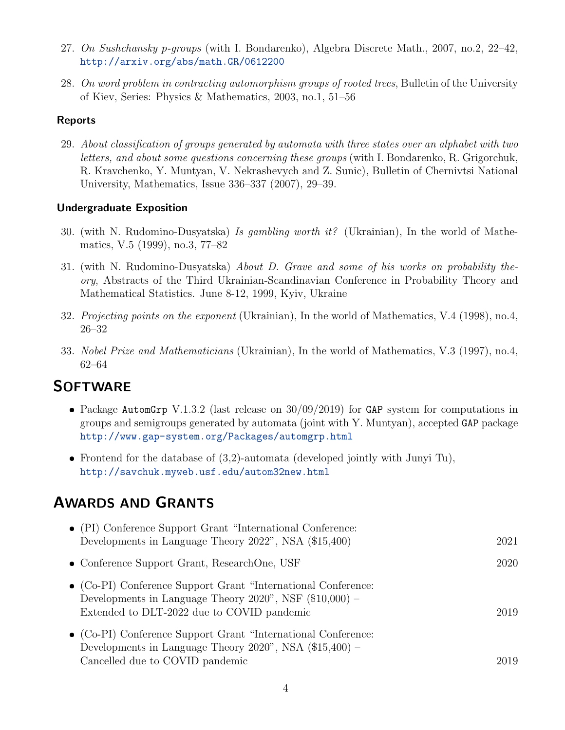- 27. On Sushchansky p-groups (with I. Bondarenko), Algebra Discrete Math., 2007, no.2, 22–42, <http://arxiv.org/abs/math.GR/0612200>
- 28. On word problem in contracting automorphism groups of rooted trees, Bulletin of the University of Kiev, Series: Physics & Mathematics, 2003, no.1, 51–56

#### Reports

29. About classification of groups generated by automata with three states over an alphabet with two letters, and about some questions concerning these groups (with I. Bondarenko, R. Grigorchuk, R. Kravchenko, Y. Muntyan, V. Nekrashevych and Z. Sunic), Bulletin of Chernivtsi National University, Mathematics, Issue 336–337 (2007), 29–39.

#### Undergraduate Exposition

- 30. (with N. Rudomino-Dusyatska) Is gambling worth it? (Ukrainian), In the world of Mathematics, V.5 (1999), no.3, 77–82
- 31. (with N. Rudomino-Dusyatska) About D. Grave and some of his works on probability theory, Abstracts of the Third Ukrainian-Scandinavian Conference in Probability Theory and Mathematical Statistics. June 8-12, 1999, Kyiv, Ukraine
- 32. Projecting points on the exponent (Ukrainian), In the world of Mathematics, V.4 (1998), no.4, 26–32
- 33. Nobel Prize and Mathematicians (Ukrainian), In the world of Mathematics, V.3 (1997), no.4, 62–64

### **SOFTWARE**

- Package AutomGrp V.1.3.2 (last release on  $30/09/2019$ ) for GAP system for computations in groups and semigroups generated by automata (joint with Y. Muntyan), accepted GAP package <http://www.gap-system.org/Packages/automgrp.html>
- Frontend for the database of  $(3,2)$ -automata (developed jointly with Junyi Tu), <http://savchuk.myweb.usf.edu/autom32new.html>

## AWARDS AND GRANTS

| • (PI) Conference Support Grant "International Conference:<br>Developments in Language Theory 2022", NSA (\$15,400)                                                              | 2021 |
|----------------------------------------------------------------------------------------------------------------------------------------------------------------------------------|------|
| • Conference Support Grant, ResearchOne, USF                                                                                                                                     | 2020 |
| $\bullet$ (Co-PI) Conference Support Grant "International Conference:<br>Developments in Language Theory 2020", NSF $(\$10,000)$ -<br>Extended to DLT-2022 due to COVID pandemic | 2019 |
| • (Co-PI) Conference Support Grant "International Conference:<br>Developments in Language Theory $2020$ ", NSA $(\$15,400)$ –                                                    |      |
| Cancelled due to COVID pandemic                                                                                                                                                  | 2019 |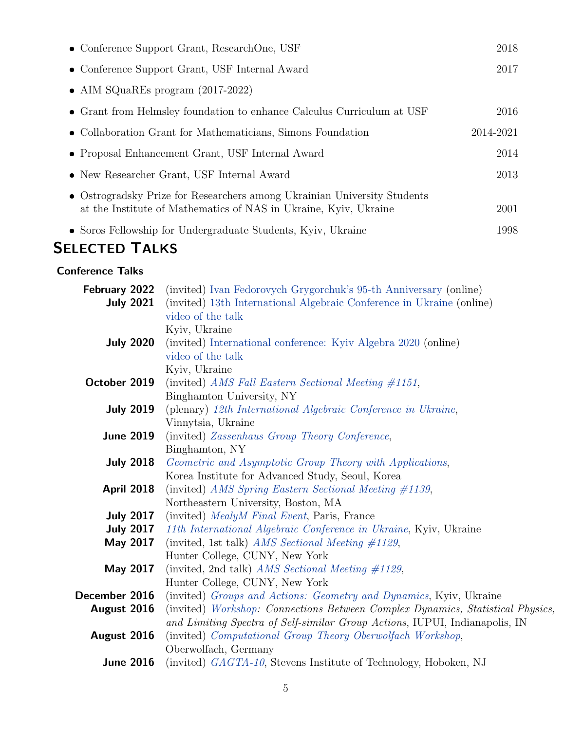| • Conference Support Grant, ResearchOne, USF                                                                                                 | 2018      |
|----------------------------------------------------------------------------------------------------------------------------------------------|-----------|
| • Conference Support Grant, USF Internal Award                                                                                               | 2017      |
| • AIM SQuaREs program $(2017-2022)$                                                                                                          |           |
| • Grant from Helmsley foundation to enhance Calculus Curriculum at USF                                                                       | 2016      |
| • Collaboration Grant for Mathematicians, Simons Foundation                                                                                  | 2014-2021 |
| • Proposal Enhancement Grant, USF Internal Award                                                                                             | 2014      |
| • New Researcher Grant, USF Internal Award                                                                                                   | 2013      |
| • Ostrogradsky Prize for Researchers among Ukrainian University Students<br>at the Institute of Mathematics of NAS in Ukraine, Kyiv, Ukraine | 2001      |
| • Soros Fellowship for Undergraduate Students, Kyiv, Ukraine                                                                                 | 1998      |

# SELECTED TALKS

#### Conference Talks

| February 2022     | (invited) Ivan Fedorovych Grygorchuk's 95-th Anniversary (online)                  |
|-------------------|------------------------------------------------------------------------------------|
| <b>July 2021</b>  | (invited) 13th International Algebraic Conference in Ukraine (online)              |
|                   | video of the talk                                                                  |
|                   | Kyiv, Ukraine                                                                      |
| <b>July 2020</b>  | (invited) International conference: Kyiv Algebra 2020 (online)                     |
|                   | video of the talk                                                                  |
|                   | Kyiv, Ukraine                                                                      |
| October 2019      | (invited) AMS Fall Eastern Sectional Meeting $\#1151$ ,                            |
|                   | Binghamton University, NY                                                          |
| <b>July 2019</b>  | (plenary) 12th International Algebraic Conference in Ukraine,                      |
|                   | Vinnytsia, Ukraine                                                                 |
| <b>June 2019</b>  | (invited) Zassenhaus Group Theory Conference,                                      |
|                   | Binghamton, NY                                                                     |
| <b>July 2018</b>  | Geometric and Asymptotic Group Theory with Applications,                           |
|                   | Korea Institute for Advanced Study, Seoul, Korea                                   |
| <b>April 2018</b> | (invited) AMS Spring Eastern Sectional Meeting #1139,                              |
|                   | Northeastern University, Boston, MA                                                |
| <b>July 2017</b>  | (invited) MealyM Final Event, Paris, France                                        |
| <b>July 2017</b>  | 11th International Algebraic Conference in Ukraine, Kyiv, Ukraine                  |
| May 2017          | (invited, 1st talk) AMS Sectional Meeting $\#1129$ ,                               |
|                   | Hunter College, CUNY, New York                                                     |
| May 2017          | (invited, 2nd talk) AMS Sectional Meeting $\#1129$ ,                               |
|                   | Hunter College, CUNY, New York                                                     |
| December 2016     | (invited) Groups and Actions: Geometry and Dynamics, Kyiv, Ukraine                 |
| August 2016       | (invited) Workshop: Connections Between Complex Dynamics, Statistical Physics,     |
|                   | and Limiting Spectra of Self-similar Group Actions, IUPUI, Indianapolis, IN        |
| August 2016       | (invited) Computational Group Theory Oberwolfach Workshop,<br>Oberwolfach, Germany |
| <b>June 2016</b>  |                                                                                    |
|                   | (invited) GAGTA-10, Stevens Institute of Technology, Hoboken, NJ                   |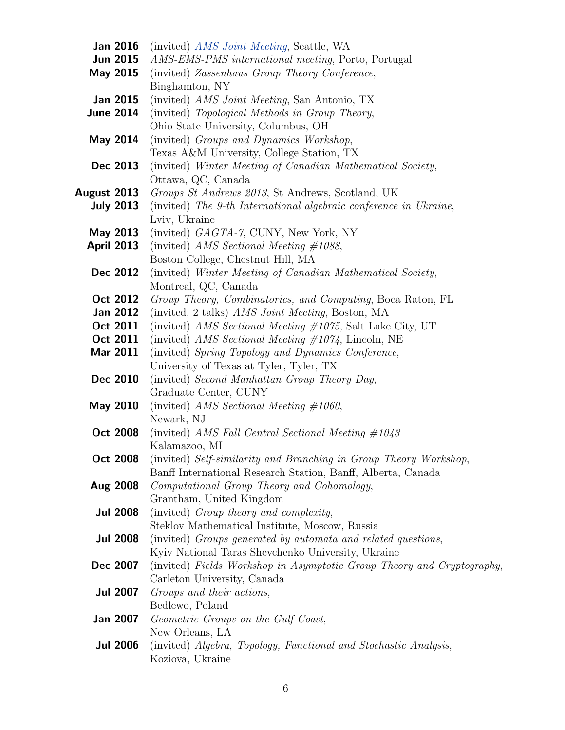| Jan 2016          |                 | (invited) <i>AMS Joint Meeting</i> , Seattle, WA                       |
|-------------------|-----------------|------------------------------------------------------------------------|
| <b>Jun 2015</b>   |                 | AMS-EMS-PMS international meeting, Porto, Portugal                     |
| May 2015          |                 | (invited) Zassenhaus Group Theory Conference,                          |
|                   |                 | Binghamton, NY                                                         |
| <b>Jan 2015</b>   |                 | (invited) AMS Joint Meeting, San Antonio, TX                           |
| <b>June 2014</b>  |                 | (invited) Topological Methods in Group Theory,                         |
|                   |                 | Ohio State University, Columbus, OH                                    |
| May 2014          |                 | (invited) Groups and Dynamics Workshop,                                |
|                   |                 | Texas A&M University, College Station, TX                              |
| Dec 2013          |                 | (invited) Winter Meeting of Canadian Mathematical Society,             |
|                   |                 | Ottawa, QC, Canada                                                     |
| August 2013       |                 | Groups St Andrews 2013, St Andrews, Scotland, UK                       |
| <b>July 2013</b>  |                 | (invited) The 9-th International algebraic conference in Ukraine,      |
|                   |                 | Lviv, Ukraine                                                          |
| May 2013          |                 | (invited) GAGTA-7, CUNY, New York, NY                                  |
| <b>April 2013</b> |                 | (invited) AMS Sectional Meeting $\#1088$ ,                             |
|                   |                 | Boston College, Chestnut Hill, MA                                      |
| Dec 2012          |                 | (invited) Winter Meeting of Canadian Mathematical Society,             |
|                   |                 | Montreal, QC, Canada                                                   |
| Oct 2012          |                 | Group Theory, Combinatorics, and Computing, Boca Raton, FL             |
| <b>Jan 2012</b>   |                 | (invited, 2 talks) <i>AMS Joint Meeting</i> , Boston, MA               |
| Oct 2011          |                 | (invited) AMS Sectional Meeting $\#1075$ , Salt Lake City, UT          |
| Oct 2011          |                 | (invited) AMS Sectional Meeting $\#1074$ , Lincoln, NE                 |
| Mar 2011          |                 | (invited) Spring Topology and Dynamics Conference,                     |
|                   |                 | University of Texas at Tyler, Tyler, TX                                |
| Dec 2010          |                 | (invited) Second Manhattan Group Theory Day,                           |
|                   |                 | Graduate Center, CUNY                                                  |
| <b>May 2010</b>   |                 | (invited) AMS Sectional Meeting $\#1060$ ,                             |
|                   |                 | Newark, NJ                                                             |
| Oct 2008          |                 | (invited) AMS Fall Central Sectional Meeting $\#1043$                  |
|                   |                 | Kalamazoo, MI                                                          |
| <b>Oct 2008</b>   |                 | (invited) Self-similarity and Branching in Group Theory Workshop,      |
|                   |                 | Banff International Research Station, Banff, Alberta, Canada           |
| Aug 2008          |                 | Computational Group Theory and Cohomology,                             |
|                   |                 | Grantham, United Kingdom                                               |
| <b>Jul 2008</b>   |                 | (invited) Group theory and complexity,                                 |
|                   |                 | Steklov Mathematical Institute, Moscow, Russia                         |
|                   | <b>Jul 2008</b> | (invited) Groups generated by automata and related questions,          |
|                   |                 | Kyiv National Taras Shevchenko University, Ukraine                     |
| Dec 2007          |                 | (invited) Fields Workshop in Asymptotic Group Theory and Cryptography, |
|                   |                 | Carleton University, Canada                                            |
| <b>Jul 2007</b>   |                 | Groups and their actions,                                              |
|                   |                 | Bedlewo, Poland                                                        |
| <b>Jan 2007</b>   |                 | Geometric Groups on the Gulf Coast,                                    |
|                   |                 | New Orleans, LA                                                        |
| <b>Jul 2006</b>   |                 | (invited) Algebra, Topology, Functional and Stochastic Analysis,       |
|                   |                 | Koziova, Ukraine                                                       |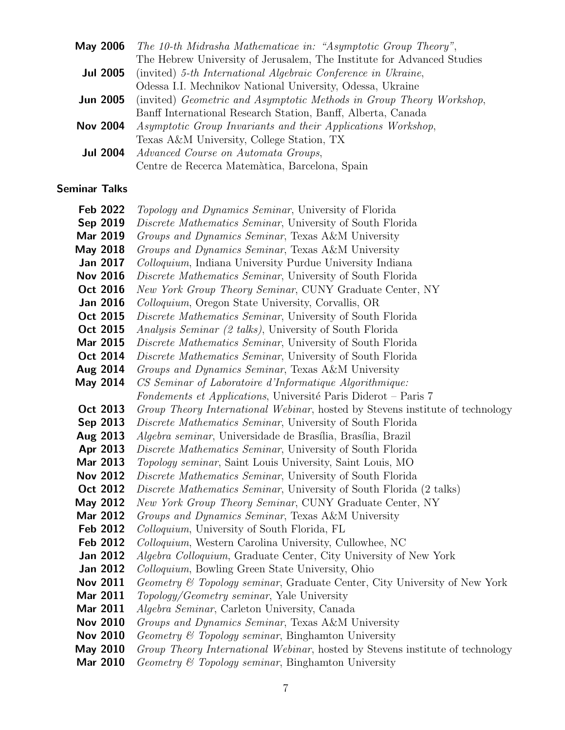| May 2006        | The 10-th Midrasha Mathematicae in: "Asymptotic Group Theory",         |
|-----------------|------------------------------------------------------------------------|
|                 | The Hebrew University of Jerusalem, The Institute for Advanced Studies |
| <b>Jul 2005</b> | (invited) 5-th International Algebraic Conference in Ukraine,          |
|                 | Odessa I.I. Mechnikov National University, Odessa, Ukraine             |
| <b>Jun 2005</b> | (invited) Geometric and Asymptotic Methods in Group Theory Workshop,   |
|                 | Banff International Research Station, Banff, Alberta, Canada           |
| <b>Nov 2004</b> | Asymptotic Group Invariants and their Applications Workshop,           |
|                 | Texas A&M University, College Station, TX                              |
| <b>Jul 2004</b> | Advanced Course on Automata Groups,                                    |
|                 | Centre de Recerca Matemàtica, Barcelona, Spain                         |
|                 |                                                                        |

#### Seminar Talks

| <b>Feb 2022</b>           | <i>Topology and Dynamics Seminar</i> , University of Florida                                                                                                                                                                                                                                                                                         |
|---------------------------|------------------------------------------------------------------------------------------------------------------------------------------------------------------------------------------------------------------------------------------------------------------------------------------------------------------------------------------------------|
| Sep 2019                  | <i>Discrete Mathematics Seminar</i> , University of South Florida                                                                                                                                                                                                                                                                                    |
| <b>Mar 2019</b>           | Groups and Dynamics Seminar, Texas A&M University                                                                                                                                                                                                                                                                                                    |
| May 2018                  | Groups and Dynamics Seminar, Texas A&M University                                                                                                                                                                                                                                                                                                    |
| <b>Jan 2017</b>           | Colloquium, Indiana University Purdue University Indiana                                                                                                                                                                                                                                                                                             |
| <b>Nov 2016</b>           | Discrete Mathematics Seminar, University of South Florida                                                                                                                                                                                                                                                                                            |
| Oct 2016                  | New York Group Theory Seminar, CUNY Graduate Center, NY                                                                                                                                                                                                                                                                                              |
| <b>Jan 2016</b>           | <i>Colloquium</i> , Oregon State University, Corvallis, OR                                                                                                                                                                                                                                                                                           |
| Oct 2015                  | <i>Discrete Mathematics Seminar</i> , University of South Florida                                                                                                                                                                                                                                                                                    |
| Oct 2015                  | <i>Analysis Seminar (2 talks)</i> , University of South Florida                                                                                                                                                                                                                                                                                      |
| <b>Mar 2015</b>           | Discrete Mathematics Seminar, University of South Florida                                                                                                                                                                                                                                                                                            |
| Oct 2014                  | Discrete Mathematics Seminar, University of South Florida                                                                                                                                                                                                                                                                                            |
| Aug 2014                  | Groups and Dynamics Seminar, Texas A&M University                                                                                                                                                                                                                                                                                                    |
| May 2014                  | CS Seminar of Laboratoire d'Informatique Algorithmique:                                                                                                                                                                                                                                                                                              |
|                           | Fondements et Applications, Université Paris Diderot – Paris 7                                                                                                                                                                                                                                                                                       |
| Oct 2013                  | Group Theory International Webinar, hosted by Stevens institute of technology                                                                                                                                                                                                                                                                        |
| Sep 2013                  | <i>Discrete Mathematics Seminar</i> , University of South Florida                                                                                                                                                                                                                                                                                    |
| Aug 2013                  | <i>Algebra seminar</i> , Universidade de Brasília, Brasília, Brazil                                                                                                                                                                                                                                                                                  |
| Apr 2013                  | Discrete Mathematics Seminar, University of South Florida                                                                                                                                                                                                                                                                                            |
| Mar 2013                  | <i>Topology seminar</i> , Saint Louis University, Saint Louis, MO                                                                                                                                                                                                                                                                                    |
| <b>Nov 2012</b>           | Discrete Mathematics Seminar, University of South Florida                                                                                                                                                                                                                                                                                            |
| Oct 2012                  | <i>Discrete Mathematics Seminar</i> , University of South Florida (2 talks)                                                                                                                                                                                                                                                                          |
| May 2012                  | New York Group Theory Seminar, CUNY Graduate Center, NY                                                                                                                                                                                                                                                                                              |
| <b>Mar 2012</b>           | Groups and Dynamics Seminar, Texas A&M University                                                                                                                                                                                                                                                                                                    |
| <b>Feb 2012</b>           | <i>Colloquium</i> , University of South Florida, FL                                                                                                                                                                                                                                                                                                  |
| <b>Feb 2012</b>           | Colloquium, Western Carolina University, Cullowhee, NC                                                                                                                                                                                                                                                                                               |
| <b>Jan 2012</b>           | Algebra Colloquium, Graduate Center, City University of New York                                                                                                                                                                                                                                                                                     |
| <b>Jan 2012</b>           | <i>Colloquium</i> , Bowling Green State University, Ohio                                                                                                                                                                                                                                                                                             |
| <b>Nov 2011</b>           | <i>Geometry &amp; Topology seminar</i> , Graduate Center, City University of New York                                                                                                                                                                                                                                                                |
| Mar 2011                  | <i>Topology/Geometry seminar</i> , Yale University                                                                                                                                                                                                                                                                                                   |
| Mar 2011                  | Algebra Seminar, Carleton University, Canada                                                                                                                                                                                                                                                                                                         |
| <b>Nov 2010</b>           | Groups and Dynamics Seminar, Texas A&M University                                                                                                                                                                                                                                                                                                    |
| <b>Nov 2010</b>           | Geometry & Topology seminar, Binghamton University                                                                                                                                                                                                                                                                                                   |
| <b>May 2010</b>           | Group Theory International Webinar, hosted by Stevens institute of technology                                                                                                                                                                                                                                                                        |
| $\mathbf{A}$ $\mathbf{A}$ | $\mathbf{r}$ $\mathbf{r}$ $\mathbf{r}$ $\mathbf{r}$ $\mathbf{r}$ $\mathbf{r}$ $\mathbf{r}$ $\mathbf{r}$ $\mathbf{r}$ $\mathbf{r}$ $\mathbf{r}$ $\mathbf{r}$ $\mathbf{r}$ $\mathbf{r}$ $\mathbf{r}$ $\mathbf{r}$ $\mathbf{r}$ $\mathbf{r}$ $\mathbf{r}$ $\mathbf{r}$ $\mathbf{r}$ $\mathbf{r}$ $\mathbf{r}$ $\mathbf{r}$ $\mathbf{$<br>$\theta$ $\pi$ |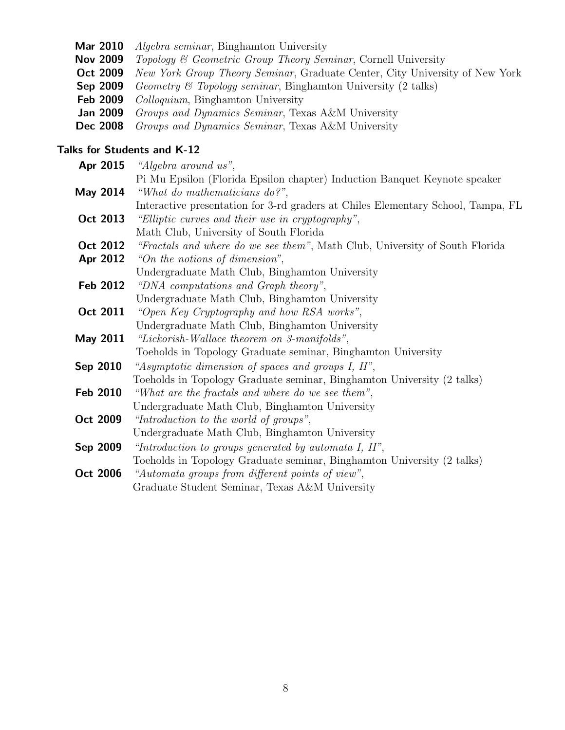- Mar 2010 Algebra seminar, Binghamton University
- Nov 2009 Topology & Geometric Group Theory Seminar, Cornell University
- Oct 2009 New York Group Theory Seminar, Graduate Center, City University of New York
- Sep 2009 Geometry & Topology seminar, Binghamton University (2 talks)
- Feb 2009 Colloquium, Binghamton University
- Jan 2009 Groups and Dynamics Seminar, Texas A&M University
- Dec 2008 Groups and Dynamics Seminar, Texas A&M University

#### Talks for Students and K-12

| Apr 2015        | "Algebra around us",                                                             |
|-----------------|----------------------------------------------------------------------------------|
|                 | Pi Mu Epsilon (Florida Epsilon chapter) Induction Banquet Keynote speaker        |
| May 2014        | "What do mathematicians $do?$ ",                                                 |
|                 | Interactive presentation for 3-rd graders at Chiles Elementary School, Tampa, FL |
| Oct 2013        | "Elliptic curves and their use in cryptography",                                 |
|                 | Math Club, University of South Florida                                           |
| Oct 2012        | "Fractals and where do we see them", Math Club, University of South Florida      |
| Apr 2012        | "On the notions of dimension",                                                   |
|                 | Undergraduate Math Club, Binghamton University                                   |
| Feb 2012        | "DNA computations and Graph theory",                                             |
|                 | Undergraduate Math Club, Binghamton University                                   |
| Oct 2011        | "Open Key Cryptography and how RSA works",                                       |
|                 | Undergraduate Math Club, Binghamton University                                   |
| May 2011        | "Lickorish-Wallace theorem on 3-manifolds",                                      |
|                 | Toeholds in Topology Graduate seminar, Binghamton University                     |
| Sep 2010        | "Asymptotic dimension of spaces and groups I, II",                               |
|                 | Toeholds in Topology Graduate seminar, Binghamton University (2 talks)           |
| <b>Feb 2010</b> | "What are the fractals and where do we see them",                                |
|                 | Undergraduate Math Club, Binghamton University                                   |
| Oct 2009        | "Introduction to the world of groups",                                           |
|                 | Undergraduate Math Club, Binghamton University                                   |
| Sep 2009        | "Introduction to groups generated by automata I, $II$ ",                         |
|                 | Toeholds in Topology Graduate seminar, Binghamton University (2 talks)           |
| Oct 2006        | "Automata groups from different points of view",                                 |
|                 | Graduate Student Seminar, Texas A&M University                                   |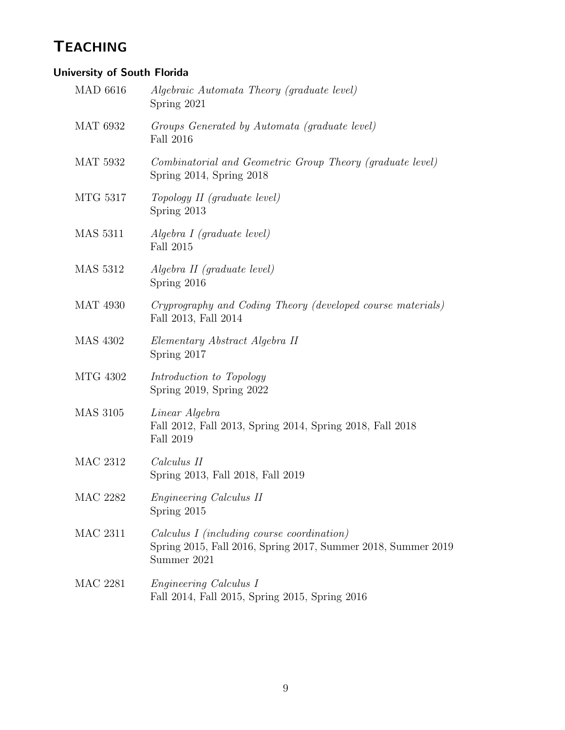# **TEACHING**

### University of South Florida

| <b>MAD 6616</b> | Algebraic Automata Theory (graduate level)<br>Spring 2021                                                                  |
|-----------------|----------------------------------------------------------------------------------------------------------------------------|
| <b>MAT 6932</b> | Groups Generated by Automata (graduate level)<br><b>Fall 2016</b>                                                          |
| <b>MAT 5932</b> | Combinatorial and Geometric Group Theory (graduate level)<br>Spring $2014$ , Spring $2018$                                 |
| MTG 5317        | Topology II (graduate level)<br>Spring 2013                                                                                |
| <b>MAS</b> 5311 | Algebra I (graduate level)<br>Fall 2015                                                                                    |
| <b>MAS</b> 5312 | Algebra II (graduate level)<br>Spring 2016                                                                                 |
| <b>MAT 4930</b> | Cryprography and Coding Theory (developed course materials)<br>Fall 2013, Fall 2014                                        |
| <b>MAS 4302</b> | Elementary Abstract Algebra II<br>Spring 2017                                                                              |
| MTG 4302        | Introduction to Topology<br>Spring 2019, Spring 2022                                                                       |
| <b>MAS 3105</b> | Linear Algebra<br>Fall 2012, Fall 2013, Spring 2014, Spring 2018, Fall 2018<br>Fall 2019                                   |
| <b>MAC 2312</b> | Calculus II<br>Spring 2013, Fall 2018, Fall 2019                                                                           |
| <b>MAC 2282</b> | Engineering Calculus II<br>Spring 2015                                                                                     |
| <b>MAC 2311</b> | Calculus I (including course coordination)<br>Spring 2015, Fall 2016, Spring 2017, Summer 2018, Summer 2019<br>Summer 2021 |
| <b>MAC 2281</b> | <i>Engineering Calculus I</i><br>Fall 2014, Fall 2015, Spring 2015, Spring 2016                                            |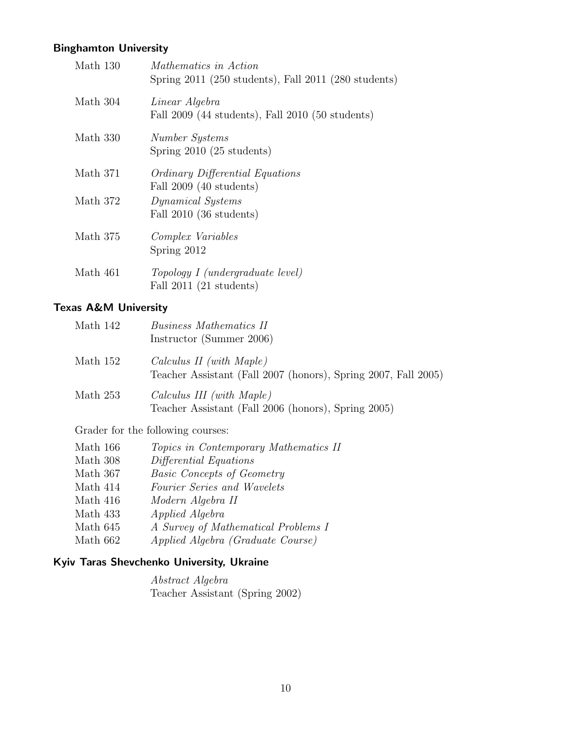#### Binghamton University

| Math 130 | <i>Mathematics in Action</i><br>Spring $2011$ (250 students), Fall $2011$ (280 students) |
|----------|------------------------------------------------------------------------------------------|
| Math 304 | Linear Algebra<br>Fall 2009 (44 students), Fall 2010 (50 students)                       |
| Math 330 | Number Systems<br>Spring 2010 (25 students)                                              |
| Math 371 | <i>Ordinary Differential Equations</i><br>Fall $2009$ (40 students)                      |
| Math 372 | Dynamical Systems<br>Fall $2010$ (36 students)                                           |
| Math 375 | <i>Complex Variables</i><br>Spring 2012                                                  |
| Math 461 | Topology I (undergraduate level)<br>Fall $2011$ (21 students)                            |

#### Texas A&M University

| Math 142 | Business Mathematics II<br>Instructor (Summer 2006)                                        |
|----------|--------------------------------------------------------------------------------------------|
| Math 152 | Calculus II (with Maple)<br>Teacher Assistant (Fall 2007 (honors), Spring 2007, Fall 2005) |
| Math 253 | Calculus III (with Maple)<br>Teacher Assistant (Fall 2006 (honors), Spring 2005)           |

Grader for the following courses:

| Math 166 | <i>Topics in Contemporary Mathematics II</i> |
|----------|----------------------------------------------|
| Math 308 | Differential Equations                       |
| Math 367 | <i>Basic Concepts of Geometry</i>            |
| Math 414 | Fourier Series and Wavelets                  |
| Math 416 | Modern Algebra II                            |
| Math 433 | <i>Applied Algebra</i>                       |
| Math 645 | A Survey of Mathematical Problems I          |
| Math 662 | Applied Algebra (Graduate Course)            |

#### Kyiv Taras Shevchenko University, Ukraine

Abstract Algebra Teacher Assistant (Spring 2002)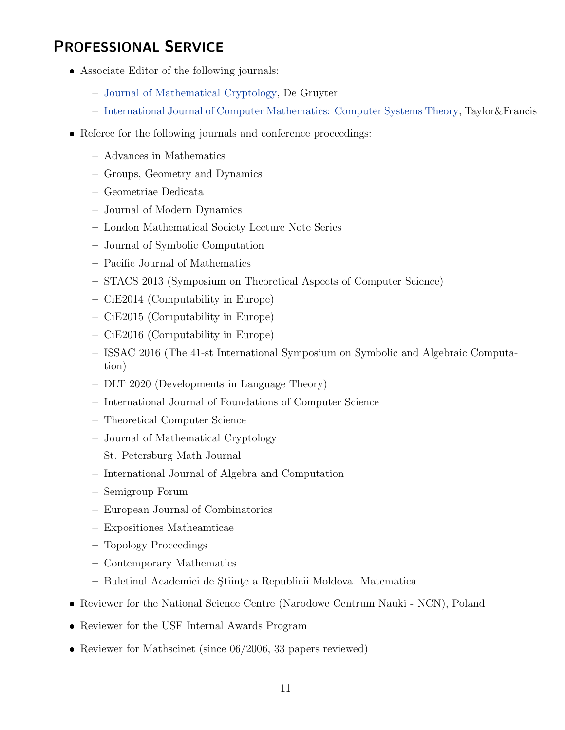# PROFESSIONAL SERVICE

- Associate Editor of the following journals:
	- [Journal of Mathematical Cryptology,](https://www.degruyter.com/journal/key/JMC/html) De Gruyter
	- [International Journal of Computer Mathematics: Computer Systems Theory,](https://www.tandfonline.com/toc/tcom20/current) Taylor&Francis
- Referee for the following journals and conference proceedings:
	- Advances in Mathematics
	- Groups, Geometry and Dynamics
	- Geometriae Dedicata
	- Journal of Modern Dynamics
	- London Mathematical Society Lecture Note Series
	- Journal of Symbolic Computation
	- Pacific Journal of Mathematics
	- STACS 2013 (Symposium on Theoretical Aspects of Computer Science)
	- CiE2014 (Computability in Europe)
	- CiE2015 (Computability in Europe)
	- CiE2016 (Computability in Europe)
	- ISSAC 2016 (The 41-st International Symposium on Symbolic and Algebraic Computation)
	- DLT 2020 (Developments in Language Theory)
	- International Journal of Foundations of Computer Science
	- Theoretical Computer Science
	- Journal of Mathematical Cryptology
	- St. Petersburg Math Journal
	- International Journal of Algebra and Computation
	- Semigroup Forum
	- European Journal of Combinatorics
	- Expositiones Matheamticae
	- Topology Proceedings
	- Contemporary Mathematics
	- Buletinul Academiei de S¸tiint¸e a Republicii Moldova. Matematica
- Reviewer for the National Science Centre (Narodowe Centrum Nauki NCN), Poland
- Reviewer for the USF Internal Awards Program
- Reviewer for Mathscinet (since 06/2006, 33 papers reviewed)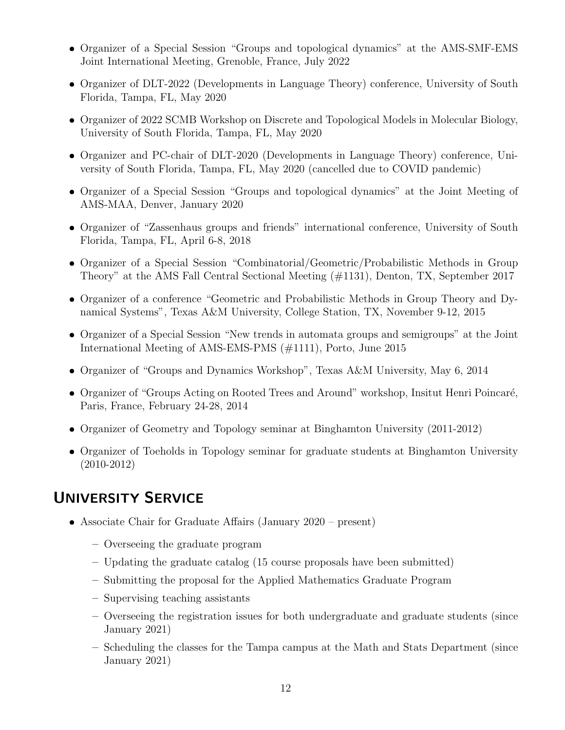- Organizer of a Special Session "Groups and topological dynamics" at the AMS-SMF-EMS Joint International Meeting, Grenoble, France, July 2022
- Organizer of DLT-2022 (Developments in Language Theory) conference, University of South Florida, Tampa, FL, May 2020
- Organizer of 2022 SCMB Workshop on Discrete and Topological Models in Molecular Biology, University of South Florida, Tampa, FL, May 2020
- Organizer and PC-chair of DLT-2020 (Developments in Language Theory) conference, University of South Florida, Tampa, FL, May 2020 (cancelled due to COVID pandemic)
- Organizer of a Special Session "Groups and topological dynamics" at the Joint Meeting of AMS-MAA, Denver, January 2020
- Organizer of "Zassenhaus groups and friends" international conference, University of South Florida, Tampa, FL, April 6-8, 2018
- Organizer of a Special Session "Combinatorial/Geometric/Probabilistic Methods in Group Theory" at the AMS Fall Central Sectional Meeting (#1131), Denton, TX, September 2017
- Organizer of a conference "Geometric and Probabilistic Methods in Group Theory and Dynamical Systems", Texas A&M University, College Station, TX, November 9-12, 2015
- Organizer of a Special Session "New trends in automata groups and semigroups" at the Joint International Meeting of AMS-EMS-PMS (#1111), Porto, June 2015
- Organizer of "Groups and Dynamics Workshop", Texas A&M University, May 6, 2014
- Organizer of "Groups Acting on Rooted Trees and Around" workshop, Insitut Henri Poincaré, Paris, France, February 24-28, 2014
- Organizer of Geometry and Topology seminar at Binghamton University (2011-2012)
- Organizer of Toeholds in Topology seminar for graduate students at Binghamton University (2010-2012)

# UNIVERSITY SERVICE

- Associate Chair for Graduate Affairs (January 2020 present)
	- Overseeing the graduate program
	- Updating the graduate catalog (15 course proposals have been submitted)
	- Submitting the proposal for the Applied Mathematics Graduate Program
	- Supervising teaching assistants
	- Overseeing the registration issues for both undergraduate and graduate students (since January 2021)
	- Scheduling the classes for the Tampa campus at the Math and Stats Department (since January 2021)